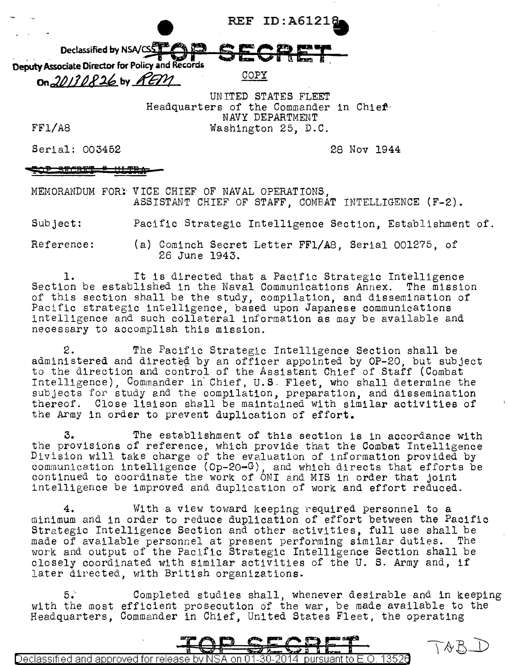**REF ID: A61218** 

Declassified by NSA/CS<sup>EX</sup><br>Deputy Associate Director for Policy and Records<br>200PY<br>COPY

UNITED STATES FLEET Headquarters of the Commander in Chief· NAVY DEPARTMENT Washington 25, D.C.

FF1/A8

Serial: 003452

28 Nov 1944

<del>\MART</del>

0n, 20130826 by REM

MEMORANDUM FOR: VICE CHIEF OF NAVAL OPERATIONS. ASSISTANT CHIEF OF STAFF, COMBAT INTELLIGENCE (F-2).

Subject: Pacific Strategic Intelligence Section, Establishment of.

Reference: (a) Cominch Secret Letter FFl/AB, Serial 001275, of 26 June 1943.

1. It is directed that a Pacific Strategic Intelligence Section be established in the Naval Communications Annex. The mission of this section shall be the study, compilation, and dissemination of Pacific strategic intelligence, based upon Japanese communications intelligence and such collateral information as may be available and necessary to accomplish this mission.

2. The Pacific Strategic Intelligence Section shall be administered and directeg by an officer appointed by OP-20, but subject to the direction and control of the Assistant Chief of Staff (Combat Intelligence), Commander in· Chief, U.S. Fleet, who shall determine the subjects for study and the compilation, preparation, and dissemination thereof. Close liaison shall be maintained with similar activities of the Army in order to prevent duplication of effort.

3. The establishment of this section is in accordance with the provisions of reference, which provide that the Combat Intelligence Division will take charge of the evaluation of information provided by communication intelligence (Op-20 $-$ G), and which directs that efforts be continued to coordinate the work of ONI and MIS in order that joint intelligence be improved and duplication of work and effort reduced.

4. With a view toward keeping required personnel to a minimum and in order to reduce duplication of effort between the Pacific Strategic Intelligence Section and other activities, full use shall be made of available personnel at present performing similar duties. The work and output of the Pacific Strategic Intelligence Section shall be closely coordinated with similar activities of the U. S. Army and, if later directed, with British organizations.

5; Completed studies shall, whenever desirable and in keeping with the most efficient prosecution of the war, be made available to the Headquarters, Commander in Chief, United States Fleet, the operating



 $TAB$ 

<u>Declassified and approved for release by NSA on 01-30-2014  $\,$  pursuant to E.O. 13520</u>